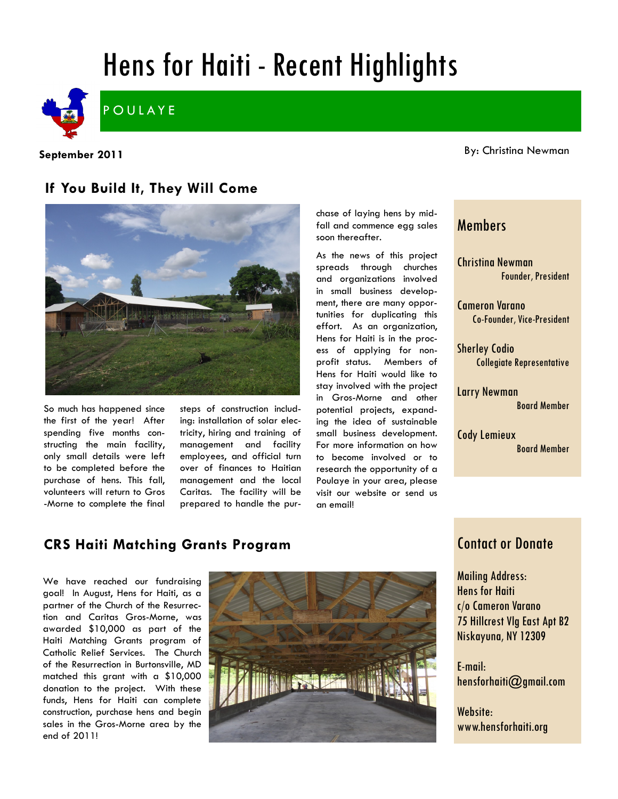# Hens for Haiti - Recent Highlights



**September 2011**

By: Christina Newman

## **If You Build It, They Will Come**



So much has happened since the first of the year! After spending five months constructing the main facility, only small details were left to be completed before the purchase of hens. This fall, volunteers will return to Gros -Morne to complete the final steps of construction including: installation of solar electricity, hiring and training of management and facility employees, and official turn over of finances to Haitian management and the local Caritas. The facility will be prepared to handle the purchase of laying hens by midfall and commence egg sales soon thereafter.

As the news of this project spreads through churches and organizations involved in small business development, there are many opportunities for duplicating this effort. As an organization, Hens for Haiti is in the process of applying for nonprofit status. Members of Hens for Haiti would like to stay involved with the project in Gros-Morne and other potential projects, expanding the idea of sustainable small business development. For more information on how to become involved or to research the opportunity of a Poulaye in your area, please visit our website or send us an email!

#### Members

Christina Newman Founder, President

Cameron Varano Co-Founder, Vice-President

Sherley Codio Collegiate Representative

Larry Newman Board Member

Cody Lemieux Board Member

## **CRS Haiti Matching Grants Program**

We have reached our fundraising goal! In August, Hens for Haiti, as a partner of the Church of the Resurrection and Caritas Gros-Morne, was awarded \$10,000 as part of the Haiti Matching Grants program of Catholic Relief Services. The Church of the Resurrection in Burtonsville, MD matched this grant with a \$10,000 donation to the project. With these funds, Hens for Haiti can complete construction, purchase hens and begin sales in the Gros-Morne area by the end of 2011!



#### Contact or Donate

Mailing Address: Hens for Haiti c/o Cameron Varano 75 Hillcrest Vlg East Apt B2 Niskayuna, NY 12309

E-mail: hensforhaiti@gmail.com

Website: www.hensforhaiti.org